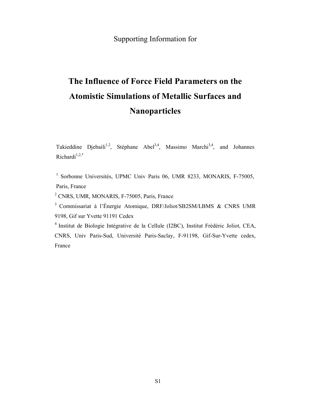## Supporting Information for

## **The Influence of Force Field Parameters on the Atomistic Simulations of Metallic Surfaces and Nanoparticles**

Takieddine Djebaili<sup>1,2</sup>, Stéphane Abel<sup>3,4</sup>, Massimo Marchi<sup>3,4</sup>, and Johannes Richardi $1,2,*$ 

<sup>1</sup> Sorbonne Universités, UPMC Univ Paris 06, UMR 8233, MONARIS, F-75005, Paris, France

<sup>2</sup> CNRS, UMR, MONARIS, F-75005, Paris, France

<sup>3</sup>Commissariat à l'Énergie Atomique, DRF/Joliot/SB2SM/LBMS & CNRS UMR 9198, Gif sur Yvette 91191 Cedex

<sup>4</sup>Institut de Biologie Intégrative de la Cellule (I2BC), Institut Frédéric Joliot, CEA, CNRS, Univ Paris-Sud, Université Paris-Saclay, F-91198, Gif-Sur-Yvette cedex, France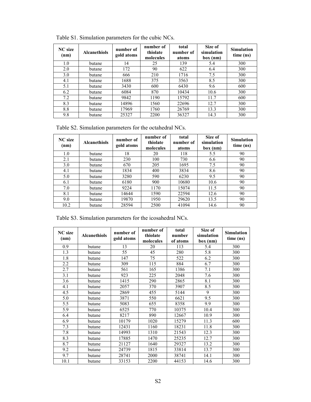| <b>NC</b> size<br>(nm) | <b>Alcanethiols</b> | number of<br>gold atoms | number of<br>thiolate<br>molecules | total<br>number of<br>atoms | Size of<br>simulation<br>box (nm) | <b>Simulation</b><br>time (ns) |
|------------------------|---------------------|-------------------------|------------------------------------|-----------------------------|-----------------------------------|--------------------------------|
| 1.0                    | butane              | 14                      | 25                                 | 139                         | 5.4                               | 300                            |
| 2.0                    | butane              | 172                     | 90                                 | 622                         | 6.4                               | 300                            |
| 3.0                    | butane              | 666                     | 210                                | 1716                        | 7.5                               | 300                            |
| 4.1                    | butane              | 1688                    | 375                                | 3563                        | 8.5                               | 300                            |
| 5.1                    | butane              | 3430                    | 600                                | 6430                        | 9.6                               | 600                            |
| 6.2                    | butane              | 6084                    | 870                                | 10434                       | 10.6                              | 300                            |
| 7.2                    | butane              | 9842                    | 1190                               | 15792                       | 11.7                              | 600                            |
| 8.3                    | butane              | 14896                   | 1560                               | 22696                       | 12.7                              | 300                            |
| 8.8                    | butane              | 17969                   | 1760                               | 26769                       | 13.3                              | 300                            |
| 9.8                    | butane              | 25327                   | 2200                               | 36327                       | 14.3                              | 300                            |

Table S1. Simulation parameters for the cubic NCs.

Table S2. Simulation parameters for the octahedral NCs.

| <b>NC</b> size<br>(nm) | <b>Alcanethiols</b> | number of<br>gold atoms | number of<br>thiolate<br>molecules | total<br>number of<br>atoms | Size of<br>simulation<br>box(nm) | <b>Simulation</b><br>time (ns) |
|------------------------|---------------------|-------------------------|------------------------------------|-----------------------------|----------------------------------|--------------------------------|
| 1.0                    | butane              | 18                      | 20                                 | 118                         | 5.5                              | 90                             |
| 2.1                    | butane              | 230                     | 100                                | 730                         | 6.6                              | 90                             |
| 3.0                    | butane              | 670                     | 205                                | 1695                        | 7.5                              | 90                             |
| 4.1                    | butane              | 1834                    | 400                                | 3834                        | 8.6                              | 90                             |
| 5.0                    | butane              | 3280                    | 590                                | 6230                        | 9.5                              | 90                             |
| 6.1                    | butane              | 6180                    | 900                                | 10680                       | 10.6                             | 90                             |
| 7.0                    | butane              | 9224                    | 1170                               | 15074                       | 11.5                             | 90                             |
| 8.1                    | butane              | 14644                   | 1590                               | 22594                       | 12.6                             | 90                             |
| 9.0                    | butane              | 19870                   | 1950                               | 29620                       | 13.5                             | 90                             |
| 10.2                   | butane              | 28594                   | 2500                               | 41094                       | 14.6                             | 90                             |

Table S3. Simulation parameters for the icosahedral NCs.

| <b>NC</b> size<br>(nm) | <b>Alcanethiols</b> | number of<br>gold atoms | number of<br>thiolate<br>molecules | total<br>number<br>of atoms | Size of<br>simulation<br>box (nm) | <b>Simulation</b><br>time (ns) |
|------------------------|---------------------|-------------------------|------------------------------------|-----------------------------|-----------------------------------|--------------------------------|
| 0.9                    | butane              | 13                      | 20                                 | 113                         | 5.4                               | 300                            |
| 1.3                    | butane              | 55                      | 45                                 | 280                         | 5.8                               | 300                            |
| 1.8                    | butane              | 147                     | 75                                 | 522                         | 6.2                               | 300                            |
| 2.2                    | butane              | 309                     | 115                                | 884                         | 6.7                               | 300                            |
| 2.7                    | butane              | 561                     | 165                                | 1386                        | 7.1                               | 300                            |
| 3.1                    | butane              | 923                     | 225                                | 2048                        | 7.6                               | 300                            |
| 3.6                    | butane              | 1415                    | 290                                | 2865                        | 8.1                               | 300                            |
| 4.1                    | butane              | 2057                    | 370                                | 3907                        | 8.5                               | 300                            |
| 4.5                    | butane              | 2869                    | 455                                | 5144                        | 9                                 | 300                            |
| 5.0                    | butane              | 3871                    | 550                                | 6621                        | 9.5                               | 300                            |
| 5.5                    | butane              | 5083                    | 655                                | 8358                        | 9.9                               | 300                            |
| 5.9                    | butane              | 6525                    | 770                                | 10375                       | 10.4                              | 300                            |
| 6.4                    | butane              | 8217                    | 890                                | 12667                       | 10.9                              | 300                            |
| 6.9                    | butane              | 10179                   | 1020                               | 15279                       | 11.3                              | 600                            |
| 7.3                    | butane              | 12431                   | 1160                               | 18231                       | 11.8                              | 300                            |
| 7.8                    | butane              | 14993                   | 1310                               | 21543                       | 12.3                              | 300                            |
| 8.3                    | butane              | 17885                   | 1470                               | 25235                       | 12.7                              | 300                            |
| 8.7                    | butane              | 21127                   | 1640                               | 29327                       | 13.2                              | 300                            |
| 9.2                    | butane              | 24739                   | 1815                               | 33814                       | 13.7                              | 300                            |
| 9.7                    | butane              | 28741                   | 2000                               | 38741                       | 14.1                              | 300                            |
| 10.1                   | butane              | 33153                   | 2200                               | 44153                       | 14.6                              | 300                            |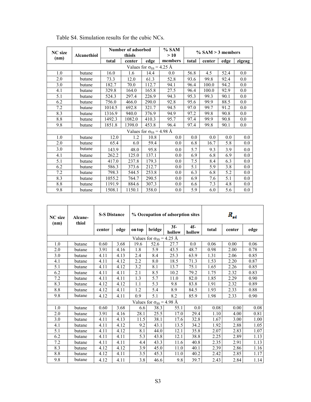| <b>NC</b> size | Alcanethiol                       |        | Number of adsorbed<br>thiols |                                   | $%$ SAM<br>>10 | $% SAM > 3$ members |        |      |         |  |  |
|----------------|-----------------------------------|--------|------------------------------|-----------------------------------|----------------|---------------------|--------|------|---------|--|--|
| (nm)           |                                   | total  | center                       | edge                              | members        | total               | center | edge | zigzag  |  |  |
|                | Values for $\sigma_{SS}$ = 4.25 Å |        |                              |                                   |                |                     |        |      |         |  |  |
| 1.0            | butane                            | 16.0   | 1.6                          | 14.4                              | 0.0            | 56.8                | 4.5    | 52.4 | 0.0     |  |  |
| 2.0            | butane                            | 73.3   | 12.0                         | 61.3                              | 52.8           | 93.6                | 99.8   | 92.4 | 0.0     |  |  |
| 3.0            | butane                            | 182.7  | 70.0                         | 112.7                             | 94.1           | 96.4                | 100.0  | 94.2 | 0.0     |  |  |
| 4.1            | butane                            | 329.8  | 164.0                        | 165.8                             | 27.5           | 96.4                | 100.0  | 92.9 | 0.0     |  |  |
| 5.1            | butane                            | 524.3  | 297.4                        | 226.9                             | 94.3           | 95.3                | 99.3   | 90.1 | 0.0     |  |  |
| 6.2            | butane                            | 756.0  | 466.0                        | 290.0                             | 92.8           | 95.6                | 99.9   | 88.5 | 0.0     |  |  |
| 7.2            | butane                            | 1014.5 | 692.8                        | 321.7                             | 94.5           | 97.0                | 99.7   | 91.2 | 0.0     |  |  |
| 8.3            | butane                            | 1316.9 | 940.0                        | 376.9                             | 94.9           | 97.2                | 99.8   | 90.8 | 0.0     |  |  |
| 8.8            | butane                            | 1492.3 | 1082.0                       | 410.3                             | 95.7           | 97.4                | 99.9   | 90.8 | 0.0     |  |  |
| 9.8            | butane                            | 1851.8 | 1398.0                       | 453.8                             | 96.4           | 97.4                | 99.8   | 90.1 | 0.0     |  |  |
|                |                                   |        |                              | Values for $\sigma_{SS}$ = 4.98 Å |                |                     |        |      |         |  |  |
| 1.0            | butane                            | 12.0   | 1.2                          | 10.8                              | 0.0            | 0.0                 | 0.0    | 0.0  | 0.0     |  |  |
| 2.0            | butane                            | 65.4   | 6.0                          | 59.4                              | 0.0            | 6.8                 | 16.7   | 5.8  | 0.0     |  |  |
| 3.0            | butane                            | 143.9  | 48.0                         | 95.8                              | 0.0            | 5.7                 | 9.3    | 3.9  | 0.0     |  |  |
| 4.1            | butane                            | 262.2  | 125.0                        | 137.1                             | 0.0            | 6.9                 | 6.8    | 6.9  | 0.0     |  |  |
| 5.1            | butane                            | 417.0  | 237.8                        | 179.3                             | 0.0            | 7.5                 | 8.4    | 6.3  | 0.0     |  |  |
| 6.2            | butane                            | 586.3  | 373.6                        | 212.7                             | 0.0            | 5.1                 | 5.9    | 3.8  | 0.0     |  |  |
| 7.2            | butane                            | 798.3  | 544.5                        | 253.8                             | 0.0            | 6.3                 | 6.8    | 5.2  | 0.0     |  |  |
| 8.3            | butane                            | 1055.2 | 764.7                        | 290.5                             | 0.0            | 6.9                 | 7.6    | 5.1  | $0.0\,$ |  |  |
| 8.8            | butane                            | 1191.9 | 884.6                        | 307.3                             | 0.0            | 6.6                 | 7.3    | 4.8  | 0.0     |  |  |
| 9.8            | butane                            | 1508.1 | 1150.1                       | 358.0                             | 0.0            | 5.9                 | 6.0    | 5.6  | 0.0     |  |  |

Table S4. Simulation results for the cubic NCs.

| <b>NC</b> size<br>(nm) | Alcane-<br>thiol | <b>S-S Distance</b> |      |        |                                   | % Occupation of adsorption sites | $R_{st}$        |       |        |      |
|------------------------|------------------|---------------------|------|--------|-----------------------------------|----------------------------------|-----------------|-------|--------|------|
|                        |                  | center              | edge | on top | bridge                            | $3f-$<br>hollow                  | $4f-$<br>hollow | total | center | edge |
|                        |                  |                     |      |        | Values for $\sigma_{SS}$ = 4.25 Å |                                  |                 |       |        |      |
| 1.0                    | butane           | 0.60                | 3.68 | 19.6   | 52.6                              | 27.7                             | 0.0             | 0.06  | 0.00   | 0.06 |
| 2.0                    | butane           | 3.91                | 4.16 | 1.8    | 5.9                               | 43.5                             | 48.7            | 0.98  | 2.00   | 0.78 |
| 3.0                    | butane           | 4.11                | 4.13 | 2.4    | 8.4                               | 25.3                             | 63.9            | 1.31  | 2.06   | 0.85 |
| 4.1                    | butane           | 4.11                | 4.12 | 2.2    | 8.0                               | 18.5                             | 71.3            | 1.53  | 2.20   | 0.87 |
| 5.1                    | butane           | 4.11                | 4.12 | 3.2    | 8.1                               | 13.7                             | 75.1            | 1.65  | 2.26   | 0.85 |
| 6.2                    | butane           | 4.11                | 4.11 | 2.1    | 8.5                               | 10.2                             | 79.2            | 1.75  | 2.32   | 0.83 |
| 7.2                    | butane           | 4.11                | 4.11 | 1.3    | 5.7                               | 11.0                             | 82.0            | 1.85  | 2.29   | 0.90 |
| 8.3                    | butane           | 4.12                | 4.12 | 1.1    | 5.3                               | 9.8                              | 83.8            | 1.91  | 2.32   | 0.89 |
| 8.8                    | butane           | 4.12                | 4.11 | 1.2    | $\overline{5.4}$                  | 8.9                              | 84.5            | 1.93  | 2.33   | 0.88 |
| 9.8                    | butane           | 4.12                | 4.11 | 0.9    | 5.1                               | 8.2                              | 85.9            | 1.98  | 2.33   | 0.90 |
|                        |                  |                     |      |        | Values for $\sigma_{SS} = 4.98$ Å |                                  |                 |       |        |      |
| 1.0                    | butane           | 0.60                | 3.68 | 6.6    | 38.3                              | 55.1                             | 0.0             | 0.08  | 0.00   | 0.08 |
| 2.0                    | butane           | 3.91                | 4.16 | 28.1   | 25.5                              | 17.0                             | 29.4            | 1.10  | 4.00   | 0.81 |
| 3.0                    | butane           | 4.11                | 4.13 | 11.5   | 38.1                              | 17.6                             | 32.8            | 1.67  | 3.00   | 1.00 |
| 4.1                    | butane           | 4.11                | 4.12 | 9.2    | 43.1                              | 13.5                             | 34.2            | 1.92  | 2.88   | 1.05 |
| 5.1                    | butane           | 4.11                | 4.12 | 8.1    | 44.0                              | 12.1                             | 35.8            | 2.07  | 2.83   | 1.07 |
| 6.2                    | butane           | 4.11                | 4.11 | 5.3    | 43.8                              | 12.1                             | 38.8            | 2.25  | 2.89   | 1.13 |
| 7.2                    | butane           | 4.11                | 4.11 | 4.4    | 43.3                              | 11.6                             | 40.8            | 2.35  | 2.91   | 1.13 |
| 8.3                    | butane           | 4.12                | 4.12 | 3.9    | 45.0                              | 11.0                             | 40.1            | 2.39  | 2.86   | 1.16 |
| 8.8                    | butane           | 4.12                | 4.11 | 3.5    | 45.3                              | 11.0                             | 40.2            | 2.42  | 2.85   | 1.17 |
| 9.8                    | butane           | 4.12                | 4.11 | 3.8    | 46.6                              | 9.8                              | 39.7            | 2.43  | 2.84   | 1.14 |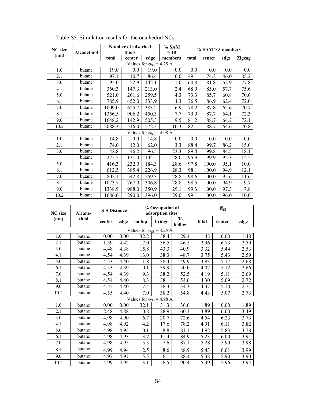| <b>NC</b> size | <b>Alcanethiol</b>                |        | Number of adsorbed<br>thiols |                                   | $%$ SAM<br>>10 | $\%$ SAM $>$ 3 members |        |      |               |  |  |  |
|----------------|-----------------------------------|--------|------------------------------|-----------------------------------|----------------|------------------------|--------|------|---------------|--|--|--|
| (nm)           |                                   | total  | edge<br>center               |                                   | members        | total                  | center | edge | <b>Zigzag</b> |  |  |  |
|                | Values for $\sigma_{SS}$ = 4.25 Å |        |                              |                                   |                |                        |        |      |               |  |  |  |
| 1.0            | butane                            | 19.0   | 0.0                          | 19.0                              | 0.0            | 0.0                    | 0.0    | 0.0  | 0.0           |  |  |  |
| 2.1            | butane                            | 97.1   | 10.7                         | 86.4                              | 0.0            | 49.1                   | 74.3   | 46.0 | 85.2          |  |  |  |
| 3.0            | butane                            | 195.0  | 52.9                         | 142.1                             | 1.0            | 60.8                   | 81.8   | 52.9 | 77.8          |  |  |  |
| 4.1            | butane                            | 360.3  | 147.3                        | 213.0                             | 2.4            | 68.9                   | 85.0   | 57.7 | 75.6          |  |  |  |
| 5.0            | butane                            | 521.0  | 261.6                        | 259.5                             | 4.3            | 73.3                   | 85.7   | 60.8 | 70.6          |  |  |  |
| 6.1            | butane                            | 785.9  | 452.0                        | 333.9                             | 4.3            | 76.5                   | 86.9   | 62.4 | 72.0          |  |  |  |
| 7.0            | butane                            | 1009.0 | 625.7                        | 383.2                             | 6.9            | 78.2                   | 87.8   | 62.6 | 70.7          |  |  |  |
| 8.1            | butane                            | 1356.5 | 906.2                        | 450.3                             | 7.7            | 79.9                   | 87.7   | 64.1 | 72.3          |  |  |  |
| 9.0            | butane                            | 1648.2 | 1142.9                       | 505.3                             | 9.5            | 81.2                   | 88.7   | 64.2 | 72.1          |  |  |  |
| 10.2           | butane                            | 2088.3 | 1516.0                       | 572.3                             | 10.3           | 82.1                   | 88.7   | 64.6 | 70.8          |  |  |  |
|                |                                   |        |                              | Values for $\sigma_{SS}$ = 4.98 Å |                |                        |        |      |               |  |  |  |
| 1.0            | butane                            | 14.8   | 0.0                          | 14.8                              | 0.0            | 0.0                    | 0.0    | 0.0  | $0.0\,$       |  |  |  |
| 2.1            | butane                            | 74.0   | 12.0                         | 62.0                              | 3.3            | 88.4                   | 99.7   | 86.2 | 15.0          |  |  |  |
| 3.0            | butane                            | 142.8  | 46.2                         | 96.5                              | 23.3           | 89.4                   | 99.8   | 84.5 | 18.1          |  |  |  |
| 4.1            | butane                            | 275.5  | 131.0                        | 144.5                             | 28.0           | 95.9                   | 99.9   | 92.3 | 12.5          |  |  |  |
| 5.0            | butane                            | 416.3  | 232.0                        | 184.3                             | 28.6           | 97.8                   | 100.0  | 95.1 | 10.0          |  |  |  |
| 6.1            | butane                            | 612.3  | 385.4                        | 226.9                             | 28.3           | 98.1                   | 100.0  | 94.9 | 12.1          |  |  |  |
| 7.0            | butane                            | 802.1  | 542.8                        | 259.3                             | 28.8           | 98.6                   | 100.0  | 95.6 | 11.6          |  |  |  |
| 8.1            | butane                            | 1073.7 | 767.0                        | 306.8                             | 28.8           | 98.5                   | 100.0  | 94.9 | 9.7           |  |  |  |
| 9.0            | butane                            | 1338.9 | 988.0                        | 350.9                             | 29.1           | 99.3                   | 100.0  | 97.3 | 7.8           |  |  |  |
| 10.2           | butane                            | 1686.0 | 1290.0                       | 396.0                             | 29.0           | 99.1                   | 100.0  | 96.0 | 10.0          |  |  |  |

| <b>NC</b> size                    | <b>S-S Distance</b><br>Alcane- |        |      |                                   | % Occupation of<br>adsorption sites |                 | $R_{st}$ |        |      |  |
|-----------------------------------|--------------------------------|--------|------|-----------------------------------|-------------------------------------|-----------------|----------|--------|------|--|
| (nm)                              | thiol                          | center | edge | on top                            | bridge                              | $3f-$<br>hollow | total    | center | edge |  |
| Values for $\sigma_{SS}$ = 4.25 Å |                                |        |      |                                   |                                     |                 |          |        |      |  |
| 1.0                               | butane                         | 0.00   | 0.00 | 32.2                              | 38.4                                | 29.4            | 1.48     | 0.00   | 1.48 |  |
| 2.1                               | butane                         | 1.59   | 4.42 | 17.0                              | 36.5                                | 46.5            | 2.96     | 6.73   | 2.50 |  |
| 3.0                               | butane                         | 4.48   | 4.38 | 15.8                              | 43.3                                | 40.9            | 3.32     | 5.44   | 2.53 |  |
| 4.1                               | butane                         | 4.54   | 4.39 | 13.0                              | 38.3                                | 48.7            | 3.75     | 5.43   | 2.59 |  |
| 5.0                               | butane                         | 4.53   | 4.40 | 11.8                              | 38.4                                | 49.9            | 3.93     | 5.17   | 2.68 |  |
| 6.1                               | butane                         | 4.53   | 4.39 | 10.1                              | 39.9                                | 50.0            | 4.07     | 5.12   | 2.66 |  |
| 7.0                               | butane                         | 4.54   | 4.39 | 9.3                               | 38.2                                | 52.5            | 4.19     | 5.11   | 2.69 |  |
| 8.1                               | butane                         | 4.54   | 4.40 | 8.3                               | 38.1                                | 53.6            | 4.30     | 5.09   | 2.72 |  |
| 9.0                               | butane                         | 4.55   | 4.40 | 7.4                               | 38.3                                | 54.3            | 4.37     | 5.10   | 2.71 |  |
| 10.2                              | butane                         | 4.55   | 4.40 | 7.0                               | 38.2                                | 54.8            | 4.43     | 5.07   | 2.73 |  |
|                                   |                                |        |      | Values for $\sigma_{SS}$ = 4.98 Å |                                     |                 |          |        |      |  |
| 1.0                               | butane                         | 0.00   | 0.00 | 32.1                              | 31.3                                | 36.6            | 1.89     | 0.00   | 1.89 |  |
| 2.1                               | butane                         | 2.48   | 4.88 | 10.8                              | 28.9                                | 60.3            | 3.89     | 6.00   | 3.49 |  |
| 3.0                               | butane                         | 4.98   | 4.90 | 6.7                               | 20.7                                | 72.6            | 4.54     | 6.23   | 3.73 |  |
| 4.1                               | butane                         | 4.98   | 4.92 | 4.2                               | 17.6                                | 78.2            | 4.91     | 6.11   | 3.82 |  |
| 5.0                               | butane                         | 4.98   | 4.95 | 10.1                              | 8.8                                 | 81.1            | 4.92     | 5.83   | 3.78 |  |
| 6.1                               | butane                         | 4.98   | 4.93 | 3.7                               | 11.4                                | 84.9            | 5.23     | 6.00   | 3.91 |  |
| 7.0                               | butane                         | 4.98   | 4.95 | 5.3                               | 7.6                                 | 87.1            | 5.28     | 5.90   | 3.98 |  |
| 8.1                               | butane                         | 4.99   | 4.94 | 2.5                               | 8.6                                 | 88.9            | 5.43     | 6.01   | 3.99 |  |
| 9.0                               | butane                         | 4.97   | 4.97 | 5.5                               | 6.1                                 | 88.4            | 5.38     | 5.90   | 3.90 |  |
| 10.2                              | butane                         | 4.99   | 4.94 | 3.1                               | 6.5                                 | 90.4            | 5.49     | 5.96   | 3.94 |  |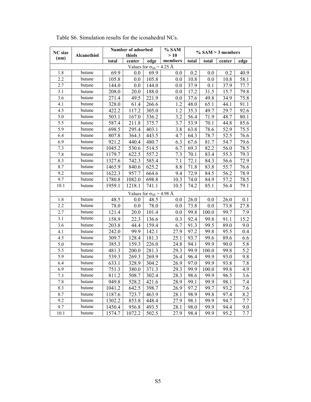| <b>NC</b> size |             |        | Number of adsorbed |                                   | % SAM   | $\%$ SAM $>$ 3 members |       |        |      |
|----------------|-------------|--------|--------------------|-----------------------------------|---------|------------------------|-------|--------|------|
| (nm)           | Alcanethiol |        | thiols             |                                   | >10     |                        |       |        |      |
|                |             | total  | center             | edge                              | members | total                  | total | center | edge |
|                |             |        |                    | Values for $\sigma_{SS}$ = 4.25 Å |         |                        |       |        |      |
| 1.8            | butane      | 69.9   | 0.0                | 69.9                              | 0.0     | 0.2                    | 0.0   | 0.2    | 40.9 |
| 2.2            | butane      | 105.8  | 0.0                | 105.8                             | 0.0     | 10.8                   | 0.0   | 10.8   | 58.1 |
| 2.7            | butane      | 144.0  | $0.0\,$            | 144.0                             | 0.0     | 37.9                   | 0.1   | 37.9   | 77.7 |
| 3.1            | butane      | 208.0  | 20.0               | 188.0                             | 0.0     | 17.2                   | 31.5  | 15.7   | 79.8 |
| 3.6            | butane      | 271.4  | 49.5               | 221.9                             | 0.0     | 37.6                   | 49.8  | 34.9   | 75.8 |
| 4.1            | butane      | 328.0  | 61.4               | 266.6                             | 1.2     | 48.0                   | 65.1  | 44.1   | 91.1 |
| 4.5            | butane      | 422.2  | 117.2              | 305.0                             | 1.2     | 35.3                   | 49.7  | 29.7   | 92.6 |
| 5.0            | butane      | 503.1  | 167.0              | 336.2                             | 3.2     | 56.4                   | 71.9  | 48.7   | 80.1 |
| 5.5            | butane      | 587.4  | 211.8              | 375.7                             | 3.7     | 53.9                   | 70.1  | 44.8   | 85.6 |
| 5.9            | butane      | 698.5  | 295.4              | 403.1                             | 3.8     | 63.8                   | 78.6  | 52.9   | 75.5 |
| 6.4            | butane      | 807.8  | 364.3              | 443.5                             | 4.7     | 64.3                   | 78.7  | 52.5   | 76.6 |
| 6.9            | butane      | 921.2  | 440.4              | 480.7                             | 6.3     | 67.6                   | 81.7  | 54.7   | 79.6 |
| 7.3            | butane      | 1045.2 | 530.6              | 514.5                             | 6.7     | 69.3                   | 82.2  | 56.0   | 78.5 |
| 7.8            | butane      | 1179.7 | 622.5              | 557.2                             | 7.3     | 70.1                   | 83.4  | 55.3   | 79.3 |
| 8.3            | butane      | 1327.6 | 742.3              | 585.4                             | 7.1     | 72.1                   | 84.3  | 56.6   | 72.9 |
| 8.7            | butane      | 1465.9 | 840.6              | 625.2                             | 8.8     | 71.8                   | 83.8  | 55.7   | 76.6 |
| 9.2            | butane      | 1622.3 | 957.7              | 664.6                             | 9.4     | 72.9                   | 84.5  | 56.2   | 78.9 |
| 9.7            | butane      | 1780.8 | 1082.0             | 698.8                             | 10.3    | 74.0                   | 84.9  | 57.2   | 78.5 |
| 10.1           | butane      | 1959.1 | 1218.1             | 741.1                             | 10.5    | 74.2                   | 85.1  | 56.4   | 79.1 |
|                |             |        |                    | Values for $\sigma_{SS}$ = 4.98 Å |         |                        |       |        |      |
| 1.8            | butane      | 48.5   | 0.0                | 48.5                              | 0.0     | 26.0                   | 0.0   | 26.0   | 0.1  |
| 2.2            | butane      | 78.0   | 0.0                | 78.0                              | 0.0     | 73.8                   | 0.0   | 73.8   | 27.8 |
| 2.7            | butane      | 121.4  | $20.0\,$           | 101.4                             | 0.0     | 99.8                   | 100.0 | 99.7   | 7.9  |
| 3.1            | butane      | 158.9  | 22.3               | 136.6                             | 0.3     | 92.4                   | 99.8  | 91.1   | 15.2 |
| 3.6            | butane      | 203.8  | 44.4               | 159.4                             | 6.7     | 91.3                   | 99.5  | 89.0   | 9.0  |
| 4.1            | butane      | 242.0  | 99.9               | 142.1                             | 27.9    | 97.2                   | 99.8  | 95.5   | 0.4  |
| 4.5            | butane      | 309.7  | 128.4              | 181.3                             | 25.1    | 93.7                   | 99.6  | 89.6   | 6.6  |
| 5.0            | butane      | 385.3  | 159.3              | 226.0                             | 24.8    | 94.1                   | 99.9  | 90.0   | 5.8  |
| 5.5            | butane      | 481.3  | 200.0              | 281.3                             | 29.3    | 99.9                   | 100.0 | 99.8   | 5.2  |
| 5.9            | butane      | 539.3  | 269.3              | 269.9                             | 26.4    | 96.4                   | 99.9  | 93.0   | 9.8  |
| 6.4            | butane      | 633.1  | 328.9              | 304.2                             | 26.9    | 97.0                   | 99.9  | 93.8   | 7.8  |
| 6.9            | butane      | 751.3  | 380.0              | 371.3                             | 29.3    | 99.9                   | 100.0 | 99.8   | 4.9  |
| 7.3            | butane      | 811.2  | 508.7              | 302.4                             | 28.3    | 98.6                   | 99.9  | 96.5   | 3.6  |
| 7.8            | butane      | 949.8  | 528.2              | 421.6                             | 28.9    | 99.1                   | 99.9  | 98.1   | 7.4  |
| 8.3            | butane      | 1041.2 | 642.5              | 398.7                             | 26.9    | 97.2                   | 99.7  | 93.2   | 7.6  |
| 8.7            | butane      | 1187.6 | 723.7              | 463.9                             | 28.1    | 98.9                   | 99.8  | 97.4   | 8.2  |
| 9.2            | butane      | 1302.2 | 853.8              | 448.4                             | 27.9    | 98.1                   | 99.9  | 94.7   | 7.7  |
| 9.7            | butane      | 1450.4 | 956.8              | 493.5                             | 28.1    | 98.0                   | 99.9  | 94.4   | 9.0  |
| 10.1           | butane      | 1574.7 | 1072.2             | 502.5                             | 27.9    | 98.4                   | 99.9  | 95.2   | 7.7  |

Table S6. Simulation results for the icosahedral NCs.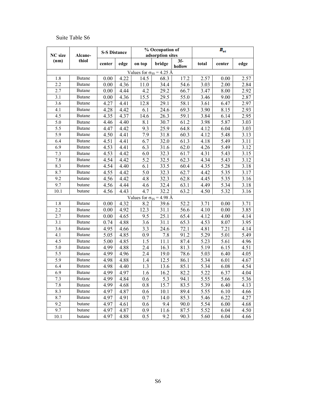## Suite Table S6

| NC size | Alcane-       | <b>S-S Distance</b> |      |                                   | % Occupation of<br>adsorption sites |                 | $\bm{R}_{st}$ |        |      |  |
|---------|---------------|---------------------|------|-----------------------------------|-------------------------------------|-----------------|---------------|--------|------|--|
| (nm)    | thiol         | center              | edge | on top                            | bridge                              | $3f-$<br>hollow | total         | center | edge |  |
|         |               |                     |      | Values for $\sigma_{SS}$ = 4.25 Å |                                     |                 |               |        |      |  |
| 1.8     | <b>Butane</b> | 0.00                | 4.22 | 14.5                              | 68.3                                | 17.2            | 2.57          | 0.00   | 2.57 |  |
| 2.2     | <b>Butane</b> | 0.00                | 4.36 | 11.0                              | 34.4                                | 54.6            | 3.03          | 2.00   | 2.84 |  |
| 2.7     | <b>Butane</b> | 0.00                | 4.44 | 4.2                               | 29.2                                | 66.7            | 3.47          | 8.00   | 2.92 |  |
| 3.1     | <b>Butane</b> | 0.00                | 4.36 | 15.5                              | 29.5                                | 55.0            | 3.46          | 9.00   | 2.87 |  |
| 3.6     | <b>Butane</b> | 4.27                | 4.41 | 12.8                              | 29.1                                | 58.1            | 3.61          | 6.47   | 2.97 |  |
| 4.1     | <b>Butane</b> | 4.28                | 4.42 | 6.1                               | 24.6                                | 69.3            | 3.90          | 8.15   | 2.93 |  |
| 4.5     | Butane        | 4.35                | 4.37 | 14.6                              | 26.3                                | 59.1            | 3.84          | 6.14   | 2.95 |  |
| 5.0     | <b>Butane</b> | 4.46                | 4.40 | 8.1                               | 30.7                                | 61.2            | 3.98          | 5.87   | 3.03 |  |
| 5.5     | <b>Butane</b> | 4.47                | 4.42 | 9.3                               | 25.9                                | 64.8            | 4.12          | 6.04   | 3.03 |  |
| 5.9     | <b>Butane</b> | 4.50                | 4.41 | 7.9                               | 31.8                                | 60.3            | 4.12          | 5.48   | 3.13 |  |
| 6.4     | <b>Butane</b> | 4.51                | 4.41 | 6.7                               | 32.0                                | 61.3            | 4.18          | 5.49   | 3.11 |  |
| 6.9     | <b>Butane</b> | 4.53                | 4.41 | 6.3                               | 31.6                                | 62.0            | 4.26          | 5.49   | 3.12 |  |
| 7.3     | <b>Butane</b> | 4.53                | 4.42 | 6.0                               | 32.3                                | 61.7            | 4.31          | 5.43   | 3.15 |  |
| 7.8     | <b>Butane</b> | 4.54                | 4.42 | 5.2                               | 32.5                                | 62.3            | 4.34          | 5.43   | 3.12 |  |
| 8.3     | <b>Butane</b> | 4.54                | 4.40 | 6.1                               | 33.5                                | 60.4            | 4.35          | 5.28   | 3.18 |  |
| 8.7     | <b>Butane</b> | 4.55                | 4.42 | 5.0                               | 32.3                                | 62.7            | 4.42          | 5.35   | 3.17 |  |
| 9.2     | butane        | 4.56                | 4.42 | 4.8                               | 32.3                                | 62.8            | 4.45          | 5.35   | 3.16 |  |
| 9.7     | butane        | 4.56                | 4.44 | 4.6                               | 32.4                                | 63.1            | 4.49          | 5.34   | 3.18 |  |
| 10.1    | butane        | 4.56                | 4.43 | 4.7                               | 32.2                                | 63.2            | 4.50          | 5.32   | 3.16 |  |
|         |               |                     |      | Values for $\sigma_{SS}$ = 4.98 Å |                                     |                 |               |        |      |  |
| 1.8     | <b>Butane</b> | 0.00                | 4.32 | 8.2                               | 39.6                                | 52.2            | 3.71          | 0.00   | 3.71 |  |
| 2.2     | <b>Butane</b> | 0.00                | 4.92 | 12.3                              | 31.1                                | 56.6            | 4.10          | 0.00   | 3.85 |  |
| 2.7     | <b>Butane</b> | 0.00                | 4.65 | 9.5                               | 25.1                                | 65.4            | 4.12          | 4.00   | 4.14 |  |
| 3.1     | <b>Butane</b> | 0.74                | 4.88 | 3.6                               | 31.1                                | 65.3            | 4.53          | 8.07   | 3.95 |  |
| 3.6     | <b>Butane</b> | 4.95                | 4.66 | 3.3                               | 24.6                                | 72.1            | 4.81          | 7.21   | 4.14 |  |
| 4.1     | <b>Butane</b> | 5.05                | 4.85 | 0.9                               | 7.8                                 | 91.2            | 5.29          | 5.01   | 5.49 |  |
| 4.5     | <b>Butane</b> | 5.00                | 4.85 | 1.5                               | 11.1                                | 87.4            | 5.23          | 5.61   | 4.96 |  |
| 5.0     | <b>Butane</b> | 4.99                | 4.88 | 2.4                               | 16.3                                | 81.3            | 5.19          | 6.15   | 4.51 |  |
| 5.5     | Butane        | 4.99                | 4.96 | 2.4                               | 19.0                                | 78.6            | 5.03          | 6.40   | 4.05 |  |
| 5.9     | <b>Butane</b> | 4.98                | 4.88 | 1.4                               | 12.5                                | 86.1            | 5.34          | 6.01   | 4.67 |  |
| 6.4     | <b>Butane</b> | 4.98                | 4.40 | 1.3                               | 13.6                                | 85.1            | 5.34          | 6.08   | 4.54 |  |
| 6.9     | <b>Butane</b> | 4.99                | 4.97 | 1.6                               | 16.2                                | 82.2            | 5.22          | 6.37   | 4.04 |  |
| 7.3     | Butane        | 4.99                | 4.84 | 0.6                               | 5.3                                 | 94.1            | 5.55          | 5.66   | 5.36 |  |
| 7.8     | <b>Butane</b> | 4.99                | 4.68 | 0.8                               | 15.7                                | 83.5            | 5.39          | 6.40   | 4.13 |  |
| 8.3     | Butane        | 4.97                | 4.87 | 0.6                               | 10.1                                | 89.4            | 5.55          | 6.10   | 4.66 |  |
| 8.7     | <b>Butane</b> | 4.97                | 4.91 | 0.7                               | 14.0                                | 85.3            | 5.46          | 6.22   | 4.27 |  |
| 9.2     | butane        | 4.97                | 4.61 | 0.6                               | 9.4                                 | 90.0            | 5.54          | 6.00   | 4.68 |  |
| 9.7     | butane        | 4.97                | 4.87 | 0.9                               | 11.6                                | 87.5            | 5.52          | 6.04   | 4.50 |  |
| 10.1    | butane        | 4.97                | 4.88 | 0.5                               | 9.2                                 | 90.3            | 5.60          | 6.04   | 4.66 |  |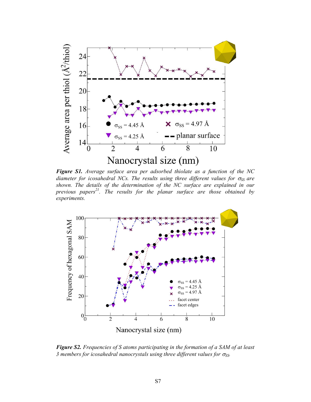

*Figure S1. Average surface area per adsorbed thiolate as a function of the NC diameter for icosahedral NCs. The results using three different values for*  $\sigma$ *<sub>SS</sub> are shown. The details of the determination of the NC surface are explained in our previous papers<sup>21</sup>. The results for the planar surface are those obtained by experiments.* 



*Figure S2. Frequencies of S atoms participating in the formation of a SAM of at least 3 members for icosahedral nanocrystals using three different values for*  $\sigma$ *<sub>SS</sub>.*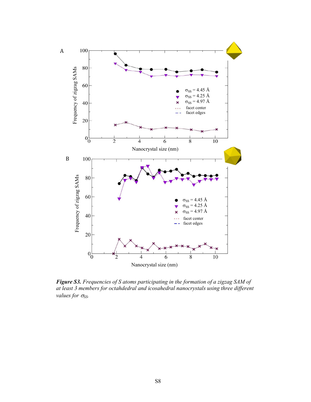

*Figure S3. Frequencies of S atoms participating in the formation of a zigzag SAM of at least 3 members for octahdedral and icosahedral nanocrystals using three different values for*  $σ_{SS}$ *.*